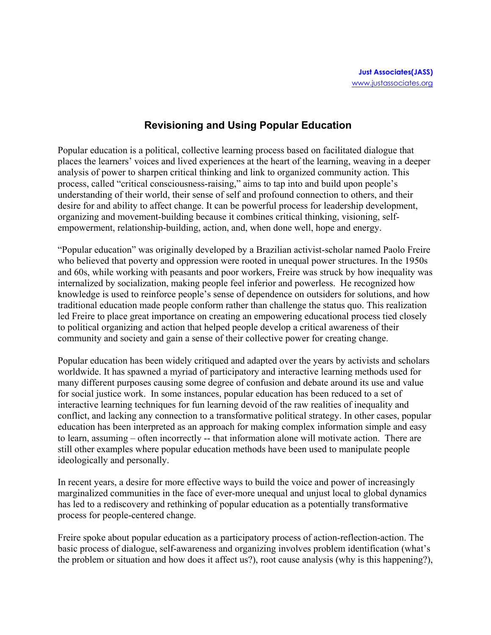## **Revisioning and Using Popular Education**

Popular education is a political, collective learning process based on facilitated dialogue that places the learners' voices and lived experiences at the heart of the learning, weaving in a deeper analysis of power to sharpen critical thinking and link to organized community action. This process, called "critical consciousness-raising," aims to tap into and build upon people's understanding of their world, their sense of self and profound connection to others, and their desire for and ability to affect change. It can be powerful process for leadership development, organizing and movement-building because it combines critical thinking, visioning, selfempowerment, relationship-building, action, and, when done well, hope and energy.

"Popular education" was originally developed by a Brazilian activist-scholar named Paolo Freire who believed that poverty and oppression were rooted in unequal power structures. In the 1950s and 60s, while working with peasants and poor workers, Freire was struck by how inequality was internalized by socialization, making people feel inferior and powerless. He recognized how knowledge is used to reinforce people's sense of dependence on outsiders for solutions, and how traditional education made people conform rather than challenge the status quo. This realization led Freire to place great importance on creating an empowering educational process tied closely to political organizing and action that helped people develop a critical awareness of their community and society and gain a sense of their collective power for creating change.

Popular education has been widely critiqued and adapted over the years by activists and scholars worldwide. It has spawned a myriad of participatory and interactive learning methods used for many different purposes causing some degree of confusion and debate around its use and value for social justice work. In some instances, popular education has been reduced to a set of interactive learning techniques for fun learning devoid of the raw realities of inequality and conflict, and lacking any connection to a transformative political strategy. In other cases, popular education has been interpreted as an approach for making complex information simple and easy to learn, assuming – often incorrectly -- that information alone will motivate action. There are still other examples where popular education methods have been used to manipulate people ideologically and personally.

In recent years, a desire for more effective ways to build the voice and power of increasingly marginalized communities in the face of ever-more unequal and unjust local to global dynamics has led to a rediscovery and rethinking of popular education as a potentially transformative process for people-centered change.

Freire spoke about popular education as a participatory process of action-reflection-action. The basic process of dialogue, self-awareness and organizing involves problem identification (what's the problem or situation and how does it affect us?), root cause analysis (why is this happening?),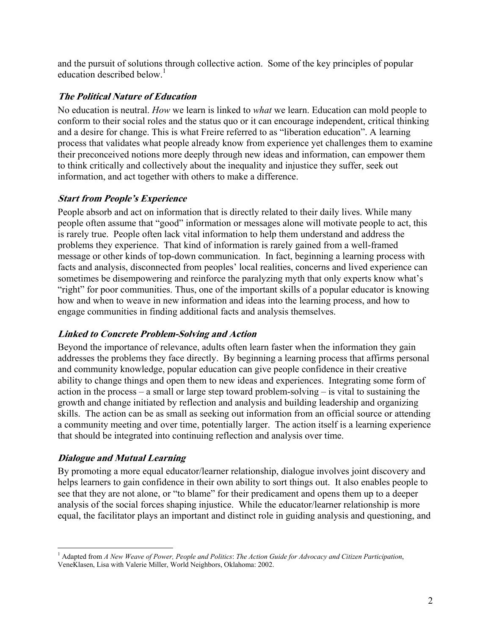and the pursuit of solutions through collective action. Some of the key principles of popular education described below. $<sup>1</sup>$ </sup>

### **The Political Nature of Education**

No education is neutral. *How* we learn is linked to *what* we learn. Education can mold people to conform to their social roles and the status quo or it can encourage independent, critical thinking and a desire for change. This is what Freire referred to as "liberation education". A learning process that validates what people already know from experience yet challenges them to examine their preconceived notions more deeply through new ideas and information, can empower them to think critically and collectively about the inequality and injustice they suffer, seek out information, and act together with others to make a difference.

### **Start from People's Experience**

People absorb and act on information that is directly related to their daily lives. While many people often assume that "good" information or messages alone will motivate people to act, this is rarely true. People often lack vital information to help them understand and address the problems they experience. That kind of information is rarely gained from a well-framed message or other kinds of top-down communication. In fact, beginning a learning process with facts and analysis, disconnected from peoples' local realities, concerns and lived experience can sometimes be disempowering and reinforce the paralyzing myth that only experts know what's "right" for poor communities. Thus, one of the important skills of a popular educator is knowing how and when to weave in new information and ideas into the learning process, and how to engage communities in finding additional facts and analysis themselves.

### **Linked to Concrete Problem-Solving and Action**

Beyond the importance of relevance, adults often learn faster when the information they gain addresses the problems they face directly. By beginning a learning process that affirms personal and community knowledge, popular education can give people confidence in their creative ability to change things and open them to new ideas and experiences. Integrating some form of action in the process – a small or large step toward problem-solving – is vital to sustaining the growth and change initiated by reflection and analysis and building leadership and organizing skills. The action can be as small as seeking out information from an official source or attending a community meeting and over time, potentially larger. The action itself is a learning experience that should be integrated into continuing reflection and analysis over time.

### **Dialogue and Mutual Learning**

By promoting a more equal educator/learner relationship, dialogue involves joint discovery and helps learners to gain confidence in their own ability to sort things out. It also enables people to see that they are not alone, or "to blame" for their predicament and opens them up to a deeper analysis of the social forces shaping injustice. While the educator/learner relationship is more equal, the facilitator plays an important and distinct role in guiding analysis and questioning, and

<sup>&</sup>lt;u>.</u> 1 Adapted from *A New Weave of Power, People and Politics*: *The Action Guide for Advocacy and Citizen Participation*, VeneKlasen, Lisa with Valerie Miller, World Neighbors, Oklahoma: 2002.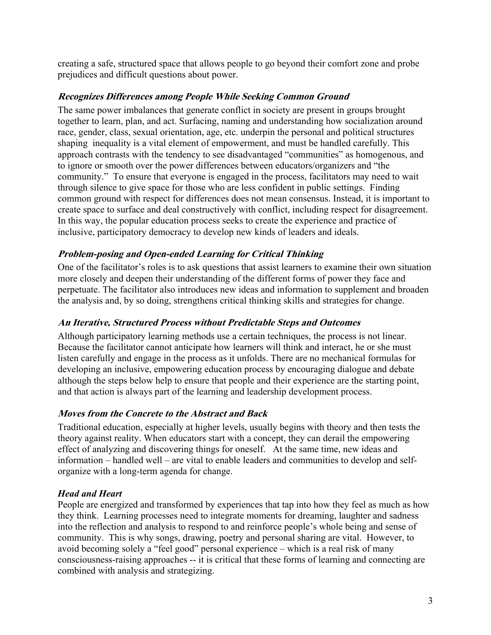creating a safe, structured space that allows people to go beyond their comfort zone and probe prejudices and difficult questions about power.

### **Recognizes Differences among People While Seeking Common Ground**

The same power imbalances that generate conflict in society are present in groups brought together to learn, plan, and act. Surfacing, naming and understanding how socialization around race, gender, class, sexual orientation, age, etc. underpin the personal and political structures shaping inequality is a vital element of empowerment, and must be handled carefully. This approach contrasts with the tendency to see disadvantaged "communities" as homogenous, and to ignore or smooth over the power differences between educators/organizers and "the community." To ensure that everyone is engaged in the process, facilitators may need to wait through silence to give space for those who are less confident in public settings. Finding common ground with respect for differences does not mean consensus. Instead, it is important to create space to surface and deal constructively with conflict, including respect for disagreement. In this way, the popular education process seeks to create the experience and practice of inclusive, participatory democracy to develop new kinds of leaders and ideals.

### **Problem-posing and Open-ended Learning for Critical Thinking**

One of the facilitator's roles is to ask questions that assist learners to examine their own situation more closely and deepen their understanding of the different forms of power they face and perpetuate. The facilitator also introduces new ideas and information to supplement and broaden the analysis and, by so doing, strengthens critical thinking skills and strategies for change.

### **An Iterative, Structured Process without Predictable Steps and Outcomes**

Although participatory learning methods use a certain techniques, the process is not linear. Because the facilitator cannot anticipate how learners will think and interact, he or she must listen carefully and engage in the process as it unfolds. There are no mechanical formulas for developing an inclusive, empowering education process by encouraging dialogue and debate although the steps below help to ensure that people and their experience are the starting point, and that action is always part of the learning and leadership development process.

### **Moves from the Concrete to the Abstract and Back**

Traditional education, especially at higher levels, usually begins with theory and then tests the theory against reality. When educators start with a concept, they can derail the empowering effect of analyzing and discovering things for oneself. At the same time, new ideas and information – handled well – are vital to enable leaders and communities to develop and selforganize with a long-term agenda for change.

### *Head and Heart*

People are energized and transformed by experiences that tap into how they feel as much as how they think. Learning processes need to integrate moments for dreaming, laughter and sadness into the reflection and analysis to respond to and reinforce people's whole being and sense of community. This is why songs, drawing, poetry and personal sharing are vital. However, to avoid becoming solely a "feel good" personal experience – which is a real risk of many consciousness-raising approaches -- it is critical that these forms of learning and connecting are combined with analysis and strategizing.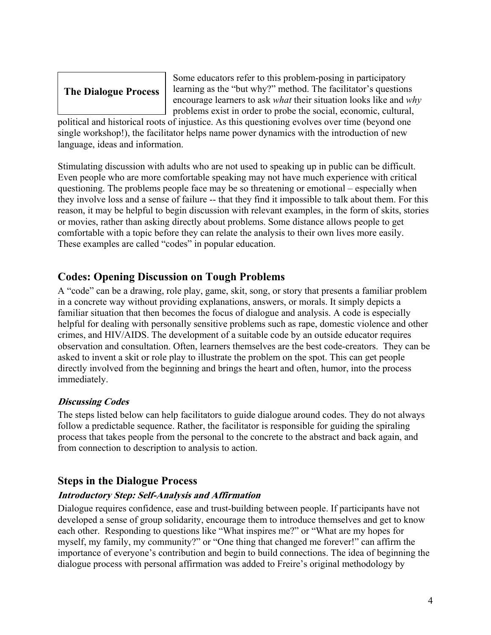# **The Dialogue Process**

Some educators refer to this problem-posing in participatory learning as the "but why?" method. The facilitator's questions encourage learners to ask *what* their situation looks like and *why* problems exist in order to probe the social, economic, cultural,

political and historical roots of injustice. As this questioning evolves over time (beyond one single workshop!), the facilitator helps name power dynamics with the introduction of new language, ideas and information.

Stimulating discussion with adults who are not used to speaking up in public can be difficult. Even people who are more comfortable speaking may not have much experience with critical questioning. The problems people face may be so threatening or emotional – especially when they involve loss and a sense of failure -- that they find it impossible to talk about them. For this reason, it may be helpful to begin discussion with relevant examples, in the form of skits, stories or movies, rather than asking directly about problems. Some distance allows people to get comfortable with a topic before they can relate the analysis to their own lives more easily. These examples are called "codes" in popular education.

# **Codes: Opening Discussion on Tough Problems**

A "code" can be a drawing, role play, game, skit, song, or story that presents a familiar problem in a concrete way without providing explanations, answers, or morals. It simply depicts a familiar situation that then becomes the focus of dialogue and analysis. A code is especially helpful for dealing with personally sensitive problems such as rape, domestic violence and other crimes, and HIV/AIDS. The development of a suitable code by an outside educator requires observation and consultation. Often, learners themselves are the best code-creators. They can be asked to invent a skit or role play to illustrate the problem on the spot. This can get people directly involved from the beginning and brings the heart and often, humor, into the process immediately.

### **Discussing Codes**

The steps listed below can help facilitators to guide dialogue around codes. They do not always follow a predictable sequence. Rather, the facilitator is responsible for guiding the spiraling process that takes people from the personal to the concrete to the abstract and back again, and from connection to description to analysis to action.

### **Steps in the Dialogue Process**

### **Introductory Step: Self-Analysis and Affirmation**

Dialogue requires confidence, ease and trust-building between people. If participants have not developed a sense of group solidarity, encourage them to introduce themselves and get to know each other. Responding to questions like "What inspires me?" or "What are my hopes for myself, my family, my community?" or "One thing that changed me forever!" can affirm the importance of everyone's contribution and begin to build connections. The idea of beginning the dialogue process with personal affirmation was added to Freire's original methodology by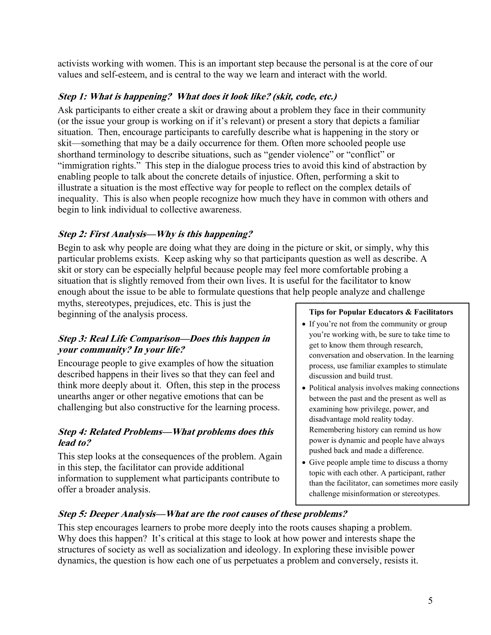activists working with women. This is an important step because the personal is at the core of our values and self-esteem, and is central to the way we learn and interact with the world.

### **Step 1: What is happening? What does it look like? (skit, code, etc.)**

Ask participants to either create a skit or drawing about a problem they face in their community (or the issue your group is working on if it's relevant) or present a story that depicts a familiar situation. Then, encourage participants to carefully describe what is happening in the story or skit—something that may be a daily occurrence for them. Often more schooled people use shorthand terminology to describe situations, such as "gender violence" or "conflict" or "immigration rights." This step in the dialogue process tries to avoid this kind of abstraction by enabling people to talk about the concrete details of injustice. Often, performing a skit to illustrate a situation is the most effective way for people to reflect on the complex details of inequality. This is also when people recognize how much they have in common with others and begin to link individual to collective awareness.

### **Step 2: First Analysis—Why is this happening?**

Begin to ask why people are doing what they are doing in the picture or skit, or simply, why this particular problems exists. Keep asking why so that participants question as well as describe. A skit or story can be especially helpful because people may feel more comfortable probing a situation that is slightly removed from their own lives. It is useful for the facilitator to know enough about the issue to be able to formulate questions that help people analyze and challenge

myths, stereotypes, prejudices, etc. This is just the beginning of the analysis process.

### **Step 3: Real Life Comparison—Does this happen in your community? In your life?**

Encourage people to give examples of how the situation described happens in their lives so that they can feel and think more deeply about it. Often, this step in the process unearths anger or other negative emotions that can be challenging but also constructive for the learning process.

### **Step 4: Related Problems—What problems does this lead to?**

This step looks at the consequences of the problem. Again in this step, the facilitator can provide additional information to supplement what participants contribute to offer a broader analysis.

#### **Tips for Popular Educators & Facilitators**

- If you're not from the community or group you're working with, be sure to take time to get to know them through research, conversation and observation. In the learning process, use familiar examples to stimulate discussion and build trust.
- Political analysis involves making connections between the past and the present as well as examining how privilege, power, and disadvantage mold reality today. Remembering history can remind us how power is dynamic and people have always pushed back and made a difference.
- Give people ample time to discuss a thorny topic with each other. A participant, rather than the facilitator, can sometimes more easily challenge misinformation or stereotypes.

### **Step 5: Deeper Analysis—What are the root causes of these problems?**

This step encourages learners to probe more deeply into the roots causes shaping a problem. Why does this happen? It's critical at this stage to look at how power and interests shape the structures of society as well as socialization and ideology. In exploring these invisible power dynamics, the question is how each one of us perpetuates a problem and conversely, resists it.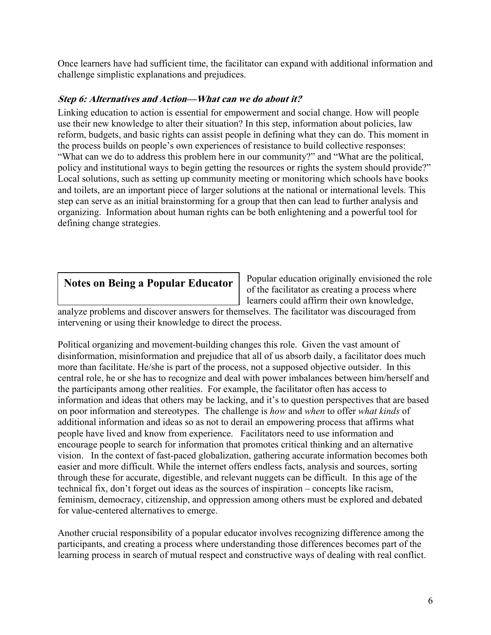Once learners have had sufficient time, the facilitator can expand with additional information and challenge simplistic explanations and prejudices.

### **Step 6: Alternatives and Action—What can we do about it?**

Linking education to action is essential for empowerment and social change. How will people use their new knowledge to alter their situation? In this step, information about policies, law reform, budgets, and basic rights can assist people in defining what they can do. This moment in the process builds on people's own experiences of resistance to build collective responses: "What can we do to address this problem here in our community?" and "What are the political, policy and institutional ways to begin getting the resources or rights the system should provide?" Local solutions, such as setting up community meeting or monitoring which schools have books and toilets, are an important piece of larger solutions at the national or international levels. This step can serve as an initial brainstorming for a group that then can lead to further analysis and organizing. Information about human rights can be both enlightening and a powerful tool for defining change strategies.

## **Notes on Being a Popular Educator**

Popular education originally envisioned the role of the facilitator as creating a process where learners could affirm their own knowledge,

analyze problems and discover answers for themselves. The facilitator was discouraged from intervening or using their knowledge to direct the process.

Political organizing and movement-building changes this role. Given the vast amount of disinformation, misinformation and prejudice that all of us absorb daily, a facilitator does much more than facilitate. He/she is part of the process, not a supposed objective outsider. In this central role, he or she has to recognize and deal with power imbalances between him/herself and the participants among other realities. For example, the facilitator often has access to information and ideas that others may be lacking, and it's to question perspectives that are based on poor information and stereotypes. The challenge is *how* and *when* to offer *what kinds* of additional information and ideas so as not to derail an empowering process that affirms what people have lived and know from experience. Facilitators need to use information and encourage people to search for information that promotes critical thinking and an alternative vision. In the context of fast-paced globalization, gathering accurate information becomes both easier and more difficult. While the internet offers endless facts, analysis and sources, sorting through these for accurate, digestible, and relevant nuggets can be difficult. In this age of the technical fix, don't forget out ideas as the sources of inspiration – concepts like racism, feminism, democracy, citizenship, and oppression among others must be explored and debated for value-centered alternatives to emerge.

Another crucial responsibility of a popular educator involves recognizing difference among the participants, and creating a process where understanding those differences becomes part of the learning process in search of mutual respect and constructive ways of dealing with real conflict.